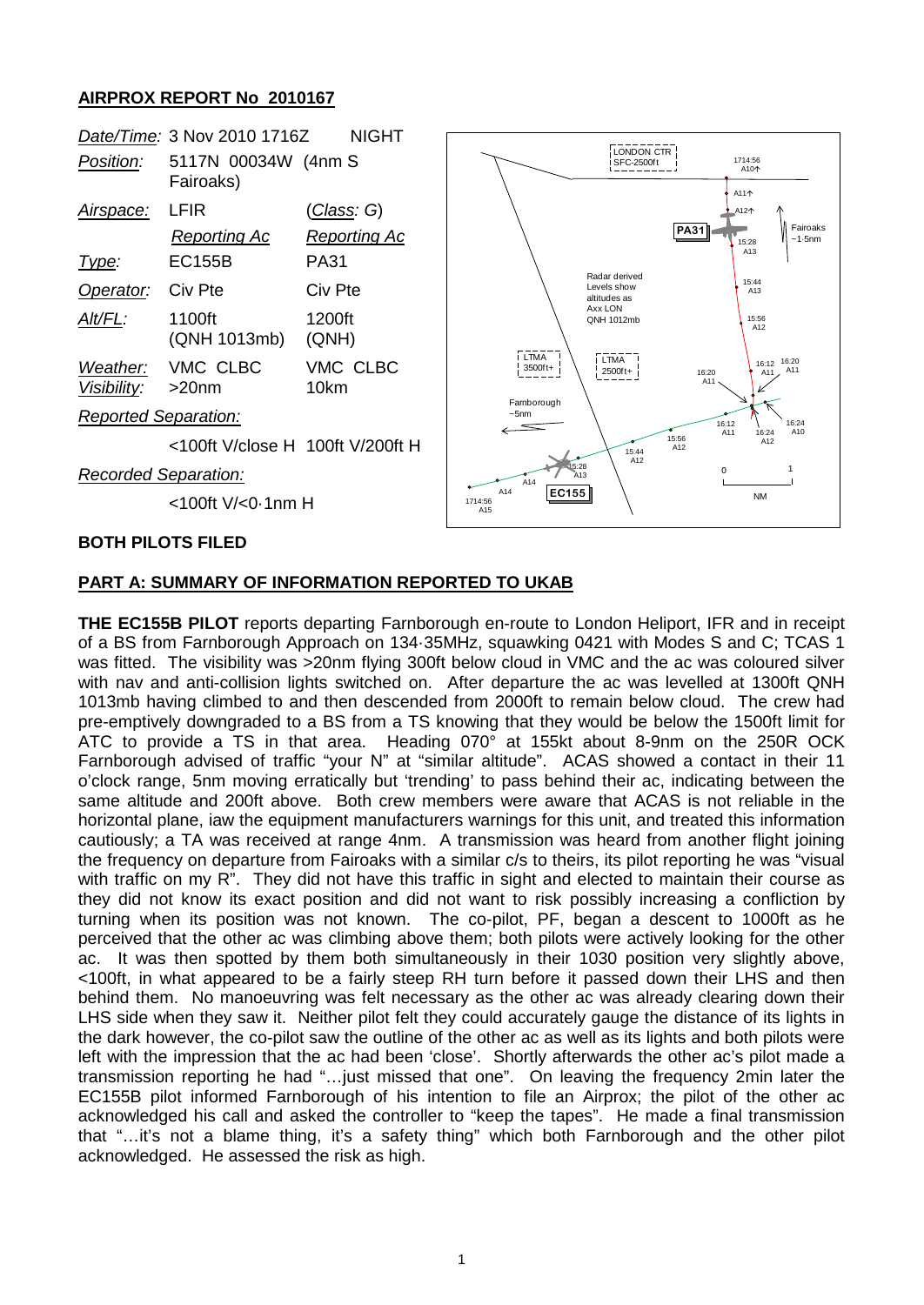## **AIRPROX REPORT No 2010167**



### **BOTH PILOTS FILED**

## **PART A: SUMMARY OF INFORMATION REPORTED TO UKAB**

**THE EC155B PILOT** reports departing Farnborough en-route to London Heliport, IFR and in receipt of a BS from Farnborough Approach on 134·35MHz, squawking 0421 with Modes S and C; TCAS 1 was fitted. The visibility was >20nm flying 300ft below cloud in VMC and the ac was coloured silver with nav and anti-collision lights switched on. After departure the ac was levelled at 1300ft QNH 1013mb having climbed to and then descended from 2000ft to remain below cloud. The crew had pre-emptively downgraded to a BS from a TS knowing that they would be below the 1500ft limit for ATC to provide a TS in that area. Heading 070° at 155kt about 8-9nm on the 250R OCK Farnborough advised of traffic "your N" at "similar altitude". ACAS showed a contact in their 11 o'clock range, 5nm moving erratically but 'trending' to pass behind their ac, indicating between the same altitude and 200ft above. Both crew members were aware that ACAS is not reliable in the horizontal plane, iaw the equipment manufacturers warnings for this unit, and treated this information cautiously; a TA was received at range 4nm. A transmission was heard from another flight joining the frequency on departure from Fairoaks with a similar c/s to theirs, its pilot reporting he was "visual with traffic on my R". They did not have this traffic in sight and elected to maintain their course as they did not know its exact position and did not want to risk possibly increasing a confliction by turning when its position was not known. The co-pilot, PF, began a descent to 1000ft as he perceived that the other ac was climbing above them; both pilots were actively looking for the other ac. It was then spotted by them both simultaneously in their 1030 position very slightly above, <100ft, in what appeared to be a fairly steep RH turn before it passed down their LHS and then behind them. No manoeuvring was felt necessary as the other ac was already clearing down their LHS side when they saw it. Neither pilot felt they could accurately gauge the distance of its lights in the dark however, the co-pilot saw the outline of the other ac as well as its lights and both pilots were left with the impression that the ac had been 'close'. Shortly afterwards the other ac's pilot made a transmission reporting he had "…just missed that one". On leaving the frequency 2min later the EC155B pilot informed Farnborough of his intention to file an Airprox; the pilot of the other ac acknowledged his call and asked the controller to "keep the tapes". He made a final transmission that "…it's not a blame thing, it's a safety thing" which both Farnborough and the other pilot acknowledged. He assessed the risk as high.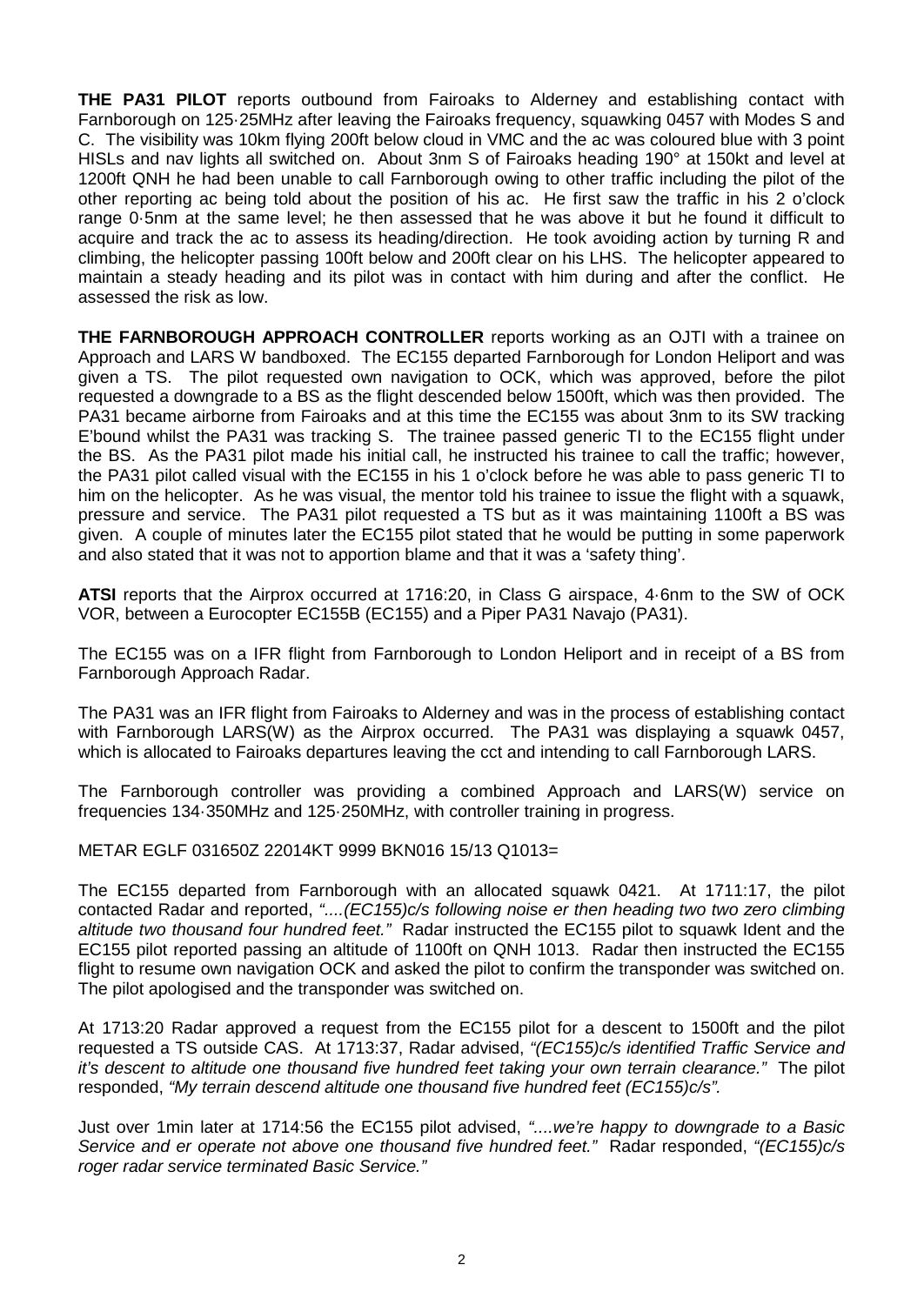**THE PA31 PILOT** reports outbound from Fairoaks to Alderney and establishing contact with Farnborough on 125·25MHz after leaving the Fairoaks frequency, squawking 0457 with Modes S and C. The visibility was 10km flying 200ft below cloud in VMC and the ac was coloured blue with 3 point HISLs and nav lights all switched on. About 3nm S of Fairoaks heading 190° at 150kt and level at 1200ft QNH he had been unable to call Farnborough owing to other traffic including the pilot of the other reporting ac being told about the position of his ac. He first saw the traffic in his 2 o'clock range 0·5nm at the same level; he then assessed that he was above it but he found it difficult to acquire and track the ac to assess its heading/direction. He took avoiding action by turning R and climbing, the helicopter passing 100ft below and 200ft clear on his LHS. The helicopter appeared to maintain a steady heading and its pilot was in contact with him during and after the conflict. He assessed the risk as low.

**THE FARNBOROUGH APPROACH CONTROLLER** reports working as an OJTI with a trainee on Approach and LARS W bandboxed. The EC155 departed Farnborough for London Heliport and was given a TS. The pilot requested own navigation to OCK, which was approved, before the pilot requested a downgrade to a BS as the flight descended below 1500ft, which was then provided. The PA31 became airborne from Fairoaks and at this time the EC155 was about 3nm to its SW tracking E'bound whilst the PA31 was tracking S. The trainee passed generic TI to the EC155 flight under the BS. As the PA31 pilot made his initial call, he instructed his trainee to call the traffic; however, the PA31 pilot called visual with the EC155 in his 1 o'clock before he was able to pass generic TI to him on the helicopter. As he was visual, the mentor told his trainee to issue the flight with a squawk, pressure and service. The PA31 pilot requested a TS but as it was maintaining 1100ft a BS was given. A couple of minutes later the EC155 pilot stated that he would be putting in some paperwork and also stated that it was not to apportion blame and that it was a 'safety thing'.

**ATSI** reports that the Airprox occurred at 1716:20, in Class G airspace, 4·6nm to the SW of OCK VOR, between a Eurocopter EC155B (EC155) and a Piper PA31 Navajo (PA31).

The EC155 was on a IFR flight from Farnborough to London Heliport and in receipt of a BS from Farnborough Approach Radar.

The PA31 was an IFR flight from Fairoaks to Alderney and was in the process of establishing contact with Farnborough LARS(W) as the Airprox occurred. The PA31 was displaying a squawk 0457, which is allocated to Fairoaks departures leaving the cct and intending to call Farnborough LARS.

The Farnborough controller was providing a combined Approach and LARS(W) service on frequencies 134·350MHz and 125·250MHz, with controller training in progress.

METAR EGLF 031650Z 22014KT 9999 BKN016 15/13 Q1013=

The EC155 departed from Farnborough with an allocated squawk 0421. At 1711:17, the pilot contacted Radar and reported, *"....(EC155)c/s following noise er then heading two two zero climbing altitude two thousand four hundred feet."* Radar instructed the EC155 pilot to squawk Ident and the EC155 pilot reported passing an altitude of 1100ft on QNH 1013. Radar then instructed the EC155 flight to resume own navigation OCK and asked the pilot to confirm the transponder was switched on. The pilot apologised and the transponder was switched on.

At 1713:20 Radar approved a request from the EC155 pilot for a descent to 1500ft and the pilot requested a TS outside CAS. At 1713:37, Radar advised, *"(EC155)c/s identified Traffic Service and it's descent to altitude one thousand five hundred feet taking your own terrain clearance."* The pilot responded, *"My terrain descend altitude one thousand five hundred feet (EC155)c/s".*

Just over 1min later at 1714:56 the EC155 pilot advised, *"....we're happy to downgrade to a Basic Service and er operate not above one thousand five hundred feet."* Radar responded, *"(EC155)c/s roger radar service terminated Basic Service."*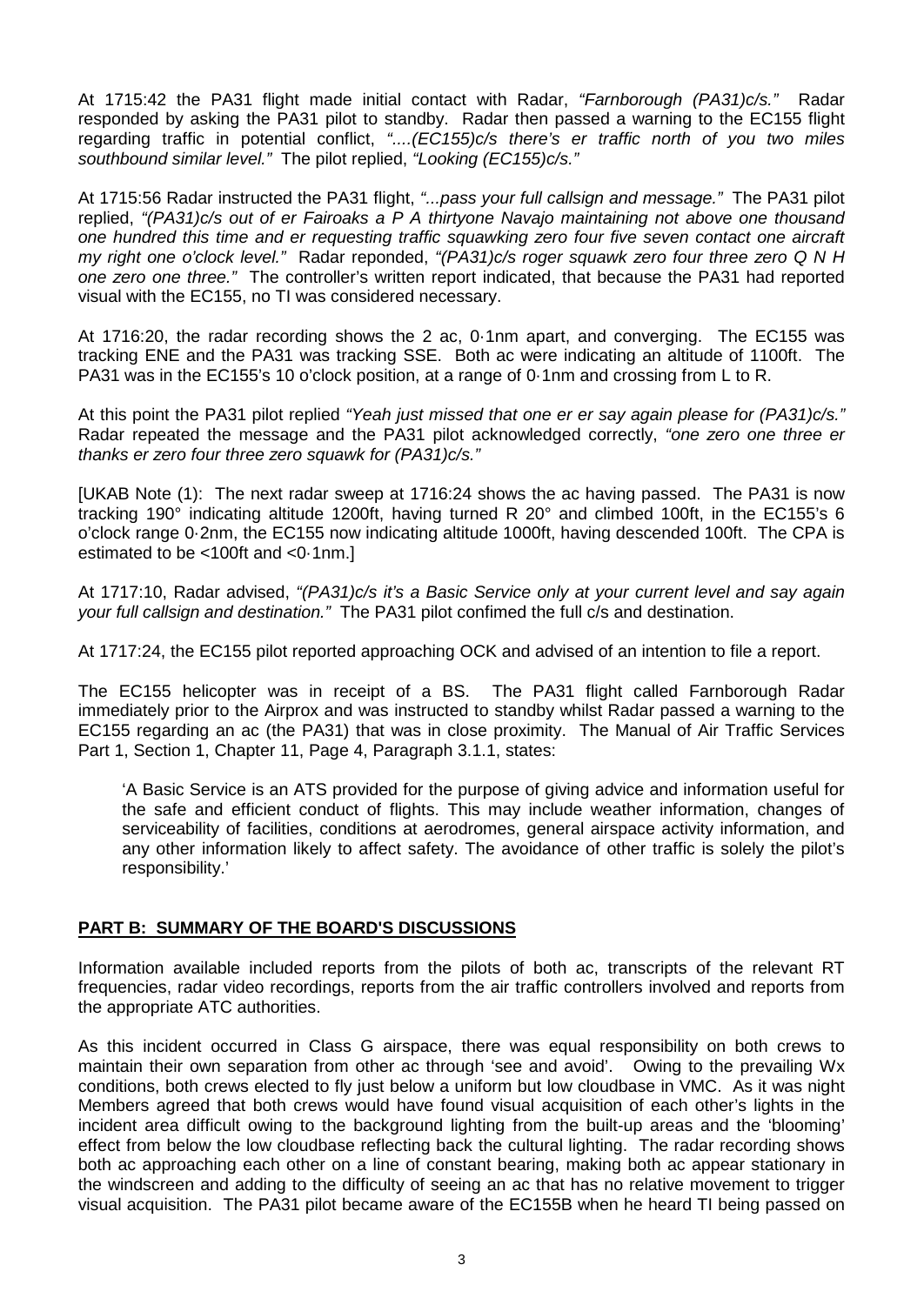At 1715:42 the PA31 flight made initial contact with Radar, *"Farnborough (PA31)c/s."* Radar responded by asking the PA31 pilot to standby. Radar then passed a warning to the EC155 flight regarding traffic in potential conflict, *"....(EC155)c/s there's er traffic north of you two miles southbound similar level."* The pilot replied, *"Looking (EC155)c/s."*

At 1715:56 Radar instructed the PA31 flight, *"...pass your full callsign and message."* The PA31 pilot replied, *"(PA31)c/s out of er Fairoaks a P A thirtyone Navajo maintaining not above one thousand one hundred this time and er requesting traffic squawking zero four five seven contact one aircraft my right one o'clock level."* Radar reponded, *"(PA31)c/s roger squawk zero four three zero Q N H one zero one three."* The controller's written report indicated, that because the PA31 had reported visual with the EC155, no TI was considered necessary.

At 1716:20, the radar recording shows the 2 ac, 0·1nm apart, and converging. The EC155 was tracking ENE and the PA31 was tracking SSE. Both ac were indicating an altitude of 1100ft. The PA31 was in the EC155's 10 o'clock position, at a range of 0·1nm and crossing from L to R.

At this point the PA31 pilot replied *"Yeah just missed that one er er say again please for (PA31)c/s."* Radar repeated the message and the PA31 pilot acknowledged correctly, *"one zero one three er thanks er zero four three zero squawk for (PA31)c/s."*

[UKAB Note (1): The next radar sweep at 1716:24 shows the ac having passed. The PA31 is now tracking 190° indicating altitude 1200ft, having turned R 20° and climbed 100ft, in the EC155's 6 o'clock range 0·2nm, the EC155 now indicating altitude 1000ft, having descended 100ft. The CPA is estimated to be <100ft and <0·1nm.]

At 1717:10, Radar advised, *"(PA31)c/s it's a Basic Service only at your current level and say again your full callsign and destination."* The PA31 pilot confimed the full c/s and destination.

At 1717:24, the EC155 pilot reported approaching OCK and advised of an intention to file a report.

The EC155 helicopter was in receipt of a BS. The PA31 flight called Farnborough Radar immediately prior to the Airprox and was instructed to standby whilst Radar passed a warning to the EC155 regarding an ac (the PA31) that was in close proximity. The Manual of Air Traffic Services Part 1, Section 1, Chapter 11, Page 4, Paragraph 3.1.1, states:

'A Basic Service is an ATS provided for the purpose of giving advice and information useful for the safe and efficient conduct of flights. This may include weather information, changes of serviceability of facilities, conditions at aerodromes, general airspace activity information, and any other information likely to affect safety. The avoidance of other traffic is solely the pilot's responsibility.'

## **PART B: SUMMARY OF THE BOARD'S DISCUSSIONS**

Information available included reports from the pilots of both ac, transcripts of the relevant RT frequencies, radar video recordings, reports from the air traffic controllers involved and reports from the appropriate ATC authorities.

As this incident occurred in Class G airspace, there was equal responsibility on both crews to maintain their own separation from other ac through 'see and avoid'. Owing to the prevailing Wx conditions, both crews elected to fly just below a uniform but low cloudbase in VMC. As it was night Members agreed that both crews would have found visual acquisition of each other's lights in the incident area difficult owing to the background lighting from the built-up areas and the 'blooming' effect from below the low cloudbase reflecting back the cultural lighting. The radar recording shows both ac approaching each other on a line of constant bearing, making both ac appear stationary in the windscreen and adding to the difficulty of seeing an ac that has no relative movement to trigger visual acquisition. The PA31 pilot became aware of the EC155B when he heard TI being passed on